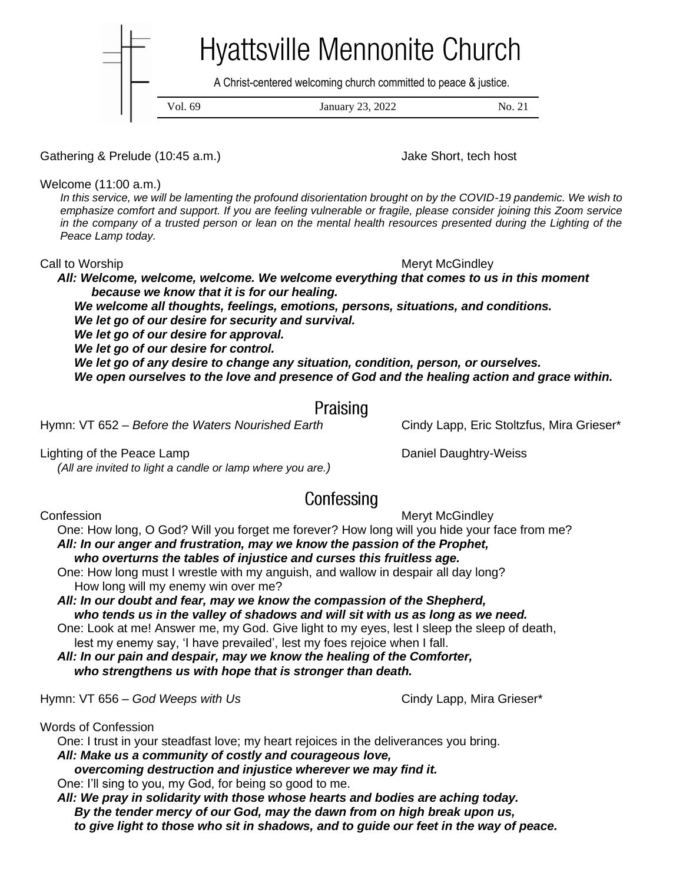**Hyattsville Mennonite Church** A Christ-centered welcoming church committed to peace & justice.Vol. 69 January 23, 2022 No. 21

Gathering & Prelude (10:45 a.m.) Gathering & Prelude (10:45 a.m.)

Welcome (11:00 a.m.)

*In this service, we will be lamenting the profound disorientation brought on by the COVID-19 pandemic. We wish to emphasize comfort and support. If you are feeling vulnerable or fragile, please consider joining this Zoom service in the company of a trusted person or lean on the mental health resources presented during the Lighting of the Peace Lamp today.*

Call to Worship Meryt McGindley

 *All: Welcome, welcome, welcome. We welcome everything that comes to us in this moment because we know that it is for our healing.*

 *We welcome all thoughts, feelings, emotions, persons, situations, and conditions. We let go of our desire for security and survival.*

 *We let go of our desire for approval.*

 *We let go of our desire for control.*

 *We let go of any desire to change any situation, condition, person, or ourselves.*

 *We open ourselves to the love and presence of God and the healing action and grace within.*

## Praising

Hymn: VT 652 – *Before the Waters Nourished Earth* Cindy Lapp, Eric Stoltzfus, Mira Grieser\*

 *(All are invited to light a candle or lamp where you are.)*

Lighting of the Peace Lamp **Daniel Daughtry-Weiss** 

# Confessing

Confession **Meryt McGindley Confession Meryt McGindley** 

 One: How long, O God? Will you forget me forever? How long will you hide your face from me? *All: In our anger and frustration, may we know the passion of the Prophet, who overturns the tables of injustice and curses this fruitless age.*

 One: How long must I wrestle with my anguish, and wallow in despair all day long? How long will my enemy win over me?

 *All: In our doubt and fear, may we know the compassion of the Shepherd, who tends us in the valley of shadows and will sit with us as long as we need.*

 One: Look at me! Answer me, my God. Give light to my eyes, lest I sleep the sleep of death, lest my enemy say, 'I have prevailed', lest my foes rejoice when I fall.

 *All: In our pain and despair, may we know the healing of the Comforter, who strengthens us with hope that is stronger than death.*

Hymn: VT 656 – God Weeps with Us **Cindy Lapp, Mira Grieser**\*

Words of Confession

One: I trust in your steadfast love; my heart rejoices in the deliverances you bring.

*All: Make us a community of costly and courageous love,*

*overcoming destruction and injustice wherever we may find it.*

One: I'll sing to you, my God, for being so good to me.

 *All: We pray in solidarity with those whose hearts and bodies are aching today. By the tender mercy of our God, may the dawn from on high break upon us, to give light to those who sit in shadows, and to guide our feet in the way of peace.*